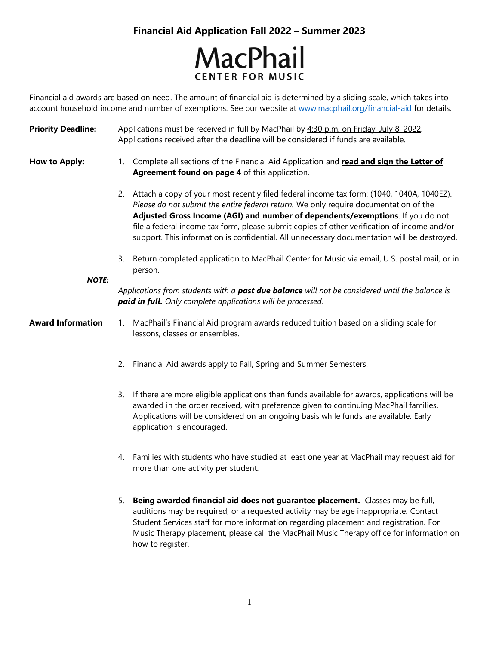

Financial aid awards are based on need. The amount of financial aid is determined by a sliding scale, which takes into account household income and number of exemptions. See our website at [www.macphail.org/financial-aid](http://www.macphail.org/financial-aid) for details.

Priority Deadline: Applications must be received in full by MacPhail by 4:30 p.m. on Friday, July 8, 2022. Applications received after the deadline will be considered if funds are available.

**How to Apply:**

- 1. Complete all sections of the Financial Aid Application and **read and sign the Letter of Agreement found on page 4** of this application.
- 2. Attach a copy of your most recently filed federal income tax form: (1040, 1040A, 1040EZ). *Please do not submit the entire federal return.* We only require documentation of the **Adjusted Gross Income (AGI) and number of dependents/exemptions**. If you do not file a federal income tax form, please submit copies of other verification of income and/or support. This information is confidential. All unnecessary documentation will be destroyed.
- 3. Return completed application to MacPhail Center for Music via email, U.S. postal mail, or in person.

*NOTE:*

*Applications from students with a past due balance will not be considered until the balance is paid in full. Only complete applications will be processed.* 

- **Award Information** 1. MacPhail's Financial Aid program awards reduced tuition based on a sliding scale for lessons, classes or ensembles.
	- 2. Financial Aid awards apply to Fall, Spring and Summer Semesters.
	- 3. If there are more eligible applications than funds available for awards, applications will be awarded in the order received, with preference given to continuing MacPhail families. Applications will be considered on an ongoing basis while funds are available. Early application is encouraged.
	- 4. Families with students who have studied at least one year at MacPhail may request aid for more than one activity per student.
	- 5. **Being awarded financial aid does not guarantee placement.** Classes may be full, auditions may be required, or a requested activity may be age inappropriate. Contact Student Services staff for more information regarding placement and registration. For Music Therapy placement, please call the MacPhail Music Therapy office for information on how to register.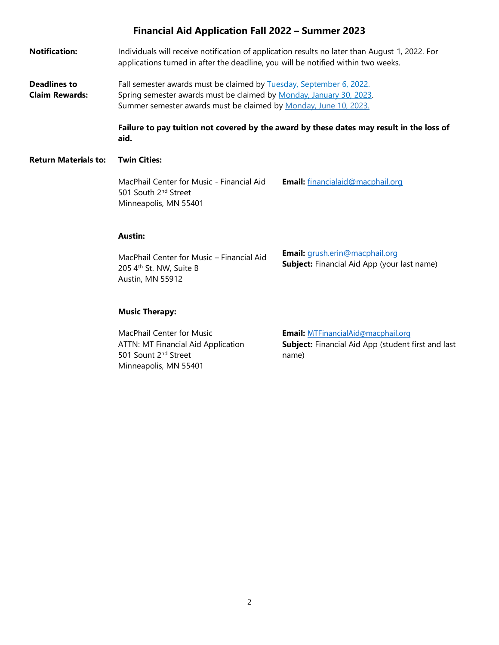**Notification:** Individuals will receive notification of application results no later than August 1, 2022. For applications turned in after the deadline, you will be notified within two weeks.

**Deadlines to Claim Rewards:** Fall semester awards must be claimed by Tuesday, September 6, 2022. Spring semester awards must be claimed by Monday, January 30, 2023. Summer semester awards must be claimed by Monday, June 10, 2023.

> **Failure to pay tuition not covered by the award by these dates may result in the loss of aid.**

#### **Return Materials to: Twin Cities:**

MacPhail Center for Music - Financial Aid 501 South 2nd Street Minneapolis, MN 55401

**Email:** [financialaid@macphail.org](mailto:financialaid@macphail.org)

#### **Austin:**

MacPhail Center for Music – Financial Aid 205 4<sup>th</sup> St. NW, Suite B Austin, MN 55912 **Email:** [grush.erin@macphail.org](mailto:grush.erin@macphail.org) **Subject:** Financial Aid App (your last name)

#### **Music Therapy:**

MacPhail Center for Music ATTN: MT Financial Aid Application 501 Sount 2<sup>nd</sup> Street Minneapolis, MN 55401

**Email:** [MTFinancialAid@macphail.org](mailto:MTFinancialAid@macphail.org) **Subject:** Financial Aid App (student first and last name)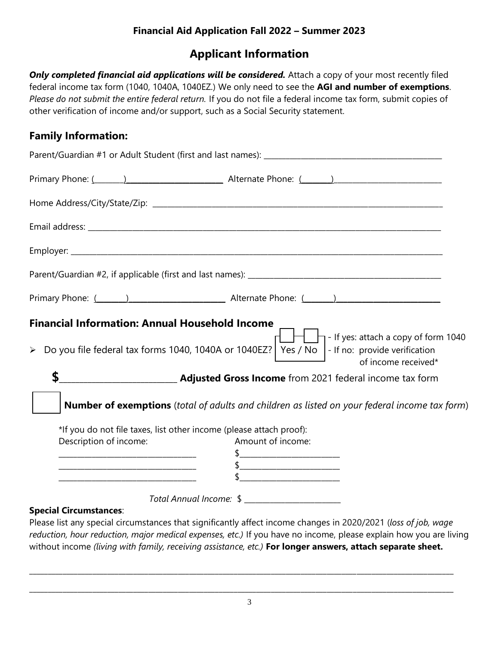# **Applicant Information**

**Only completed financial aid applications will be considered.** Attach a copy of your most recently filed federal income tax form (1040, 1040A, 1040EZ.) We only need to see the **AGI and number of exemptions**. *Please do not submit the entire federal return.* If you do not file a federal income tax form, submit copies of other verification of income and/or support, such as a Social Security statement.

# **Family Information:**

| <b>Financial Information: Annual Household Income</b> | $\left\{\begin{array}{c} \begin{array}{c} \end{array} \right\}$ - If yes: attach a copy of form 1040<br>> Do you file federal tax forms 1040, 1040A or 1040EZ?   Yes / No  - If no: provide verification<br>of income received* |
|-------------------------------------------------------|---------------------------------------------------------------------------------------------------------------------------------------------------------------------------------------------------------------------------------|
| \$                                                    | <b>EXAGINATION CONTROVER 2021</b> federal income tax form                                                                                                                                                                       |
|                                                       | <b>Number of exemptions</b> (total of adults and children as listed on your federal income tax form)                                                                                                                            |
|                                                       | *If you do not file taxes, list other income (please attach proof):                                                                                                                                                             |
| Description of income:                                | Amount of income:<br>$\frac{1}{2}$                                                                                                                                                                                              |
|                                                       | $\frac{1}{2}$                                                                                                                                                                                                                   |
|                                                       |                                                                                                                                                                                                                                 |
|                                                       |                                                                                                                                                                                                                                 |
| <b>Special Circumstances:</b>                         |                                                                                                                                                                                                                                 |

Please list any special circumstances that significantly affect income changes in 2020/2021 (*loss of job, wage reduction, hour reduction, major medical expenses, etc.)* If you have no income, please explain how you are living without income *(living with family, receiving assistance, etc.)* **For longer answers, attach separate sheet.**

\_\_\_\_\_\_\_\_\_\_\_\_\_\_\_\_\_\_\_\_\_\_\_\_\_\_\_\_\_\_\_\_\_\_\_\_\_\_\_\_\_\_\_\_\_\_\_\_\_\_\_\_\_\_\_\_\_\_\_\_\_\_\_\_\_\_\_\_\_\_\_\_\_\_\_\_\_\_\_\_\_\_\_\_\_\_\_\_\_\_\_\_\_\_\_\_\_\_\_\_\_\_\_\_\_\_\_\_\_\_\_\_\_\_

\_\_\_\_\_\_\_\_\_\_\_\_\_\_\_\_\_\_\_\_\_\_\_\_\_\_\_\_\_\_\_\_\_\_\_\_\_\_\_\_\_\_\_\_\_\_\_\_\_\_\_\_\_\_\_\_\_\_\_\_\_\_\_\_\_\_\_\_\_\_\_\_\_\_\_\_\_\_\_\_\_\_\_\_\_\_\_\_\_\_\_\_\_\_\_\_\_\_\_\_\_\_\_\_\_\_\_\_\_\_\_\_\_\_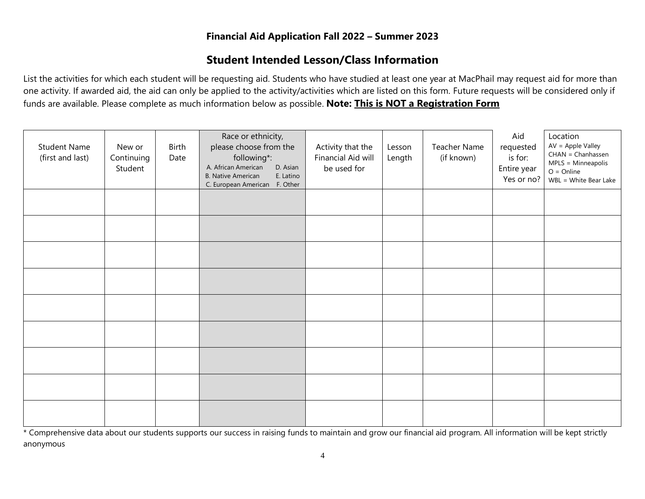# **Student Intended Lesson/Class Information**

List the activities for which each student will be requesting aid. Students who have studied at least one year at MacPhail may request aid for more than one activity. If awarded aid, the aid can only be applied to the activity/activities which are listed on this form. Future requests will be considered only if funds are available. Please complete as much information below as possible. **Note: This is NOT a Registration Form**

| <b>Student Name</b><br>(first and last) | New or<br>Continuing<br>Student | Birth<br>Date | Race or ethnicity,<br>please choose from the<br>following*:<br>D. Asian<br>A. African American<br><b>B. Native American</b><br>E. Latino<br>C. European American F. Other | Activity that the<br>Financial Aid will<br>be used for | Lesson<br>Length | Teacher Name<br>(if known) | Aid<br>requested<br>is for:<br>Entire year<br>Yes or no? | Location<br>$AV = Apple Valley$<br>$CHAN = Chanhassen$<br>MPLS = Minneapolis<br>$O = Online$<br>WBL = White Bear Lake |
|-----------------------------------------|---------------------------------|---------------|---------------------------------------------------------------------------------------------------------------------------------------------------------------------------|--------------------------------------------------------|------------------|----------------------------|----------------------------------------------------------|-----------------------------------------------------------------------------------------------------------------------|
|                                         |                                 |               |                                                                                                                                                                           |                                                        |                  |                            |                                                          |                                                                                                                       |
|                                         |                                 |               |                                                                                                                                                                           |                                                        |                  |                            |                                                          |                                                                                                                       |
|                                         |                                 |               |                                                                                                                                                                           |                                                        |                  |                            |                                                          |                                                                                                                       |
|                                         |                                 |               |                                                                                                                                                                           |                                                        |                  |                            |                                                          |                                                                                                                       |
|                                         |                                 |               |                                                                                                                                                                           |                                                        |                  |                            |                                                          |                                                                                                                       |
|                                         |                                 |               |                                                                                                                                                                           |                                                        |                  |                            |                                                          |                                                                                                                       |
|                                         |                                 |               |                                                                                                                                                                           |                                                        |                  |                            |                                                          |                                                                                                                       |
|                                         |                                 |               |                                                                                                                                                                           |                                                        |                  |                            |                                                          |                                                                                                                       |
|                                         |                                 |               |                                                                                                                                                                           |                                                        |                  |                            |                                                          |                                                                                                                       |

\* Comprehensive data about our students supports our success in raising funds to maintain and grow our financial aid program. All information will be kept strictly anonymous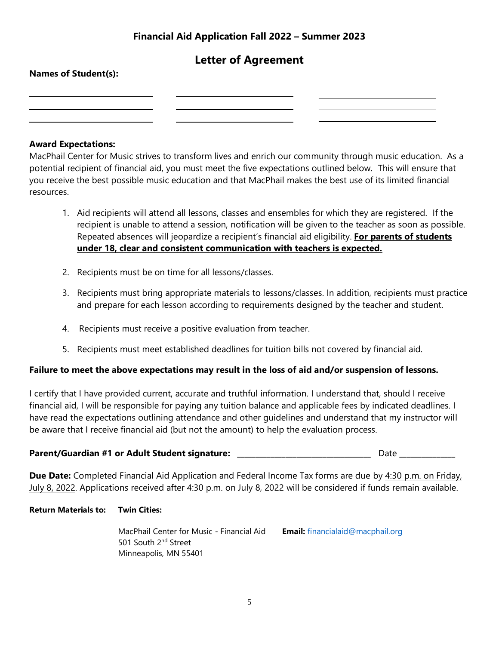## **Letter of Agreement**

# **Names of Student(s):**

### **Award Expectations:**

MacPhail Center for Music strives to transform lives and enrich our community through music education. As a potential recipient of financial aid, you must meet the five expectations outlined below. This will ensure that you receive the best possible music education and that MacPhail makes the best use of its limited financial resources.

- 1. Aid recipients will attend all lessons, classes and ensembles for which they are registered. If the recipient is unable to attend a session, notification will be given to the teacher as soon as possible. Repeated absences will jeopardize a recipient's financial aid eligibility. **For parents of students under 18, clear and consistent communication with teachers is expected.**
- 2. Recipients must be on time for all lessons/classes.
- 3. Recipients must bring appropriate materials to lessons/classes. In addition, recipients must practice and prepare for each lesson according to requirements designed by the teacher and student.
- 4. Recipients must receive a positive evaluation from teacher.
- 5. Recipients must meet established deadlines for tuition bills not covered by financial aid.

#### **Failure to meet the above expectations may result in the loss of aid and/or suspension of lessons.**

I certify that I have provided current, accurate and truthful information. I understand that, should I receive financial aid, I will be responsible for paying any tuition balance and applicable fees by indicated deadlines. I have read the expectations outlining attendance and other guidelines and understand that my instructor will be aware that I receive financial aid (but not the amount) to help the evaluation process.

## **Parent/Guardian #1 or Adult Student signature:** \_\_\_\_\_\_\_\_\_\_\_\_\_\_\_\_\_\_\_\_\_\_\_\_\_\_\_\_\_\_\_\_\_\_\_\_ Date \_\_\_\_\_\_\_\_\_\_\_\_\_\_\_

**Due Date:** Completed Financial Aid Application and Federal Income Tax forms are due by 4:30 p.m. on Friday, July 8, 2022. Applications received after 4:30 p.m. on July 8, 2022 will be considered if funds remain available.

#### **Return Materials to: Twin Cities:**

MacPhail Center for Music - Financial Aid 501 South 2<sup>nd</sup> Street Minneapolis, MN 55401 **Email:** financialaid@macphail.org